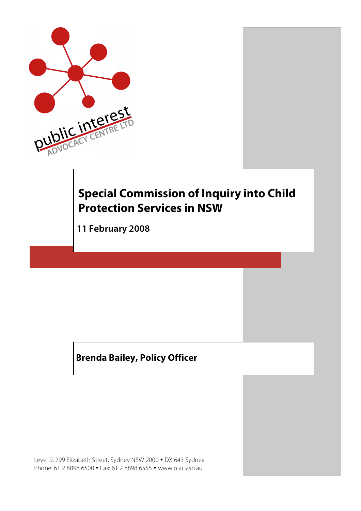

# **Special Commission of Inquiry into Child Protection Services in NSW**

**111 February 2008**

## **Brenda Bailey, Policy Officer**

Level 9, 299 Elizabeth Street, Sydney NSW 2000 • DX 643 Sydney Phone: 61 2 8898 6500 • Fax: 61 2 8898 6555 • www.piac.asn.au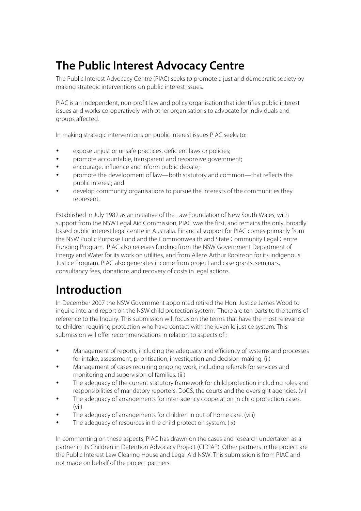# **The Public Interest Advocacy Centre**

The Public Interest Advocacy Centre (PIAC) seeks to promote a just and democratic society by making strategic interventions on public interest issues.

PIAC is an independent, non-profit law and policy organisation that identifies public interest issues and works co-operatively with other organisations to advocate for individuals and groups affected.

In making strategic interventions on public interest issues PIAC seeks to:

- expose unjust or unsafe practices, deficient laws or policies;
- promote accountable, transparent and responsive government;
- encourage, influence and inform public debate;
- promote the development of law—both statutory and common—that reflects the public interest; and
- develop community organisations to pursue the interests of the communities they represent.

Established in July 1982 as an initiative of the Law Foundation of New South Wales, with support from the NSW Legal Aid Commission, PIAC was the first, and remains the only, broadly based public interest legal centre in Australia. Financial support for PIAC comes primarily from the NSW Public Purpose Fund and the Commonwealth and State Community Legal Centre Funding Program. PIAC also receives funding from the NSW Government Department of Energy and Water for its work on utilities, and from Allens Arthur Robinson for its Indigenous Justice Program. PIAC also generates income from project and case grants, seminars, consultancy fees, donations and recovery of costs in legal actions.

## **Introduction**

In December 2007 the NSW Government appointed retired the Hon. Justice James Wood to inquire into and report on the NSW child protection system. There are ten parts to the terms of reference to the Inquiry. This submission will focus on the terms that have the most relevance to children requiring protection who have contact with the juvenile justice system. This submission will offer recommendations in relation to aspects of :

- Management of reports, including the adequacy and efficiency of systems and processes for intake, assessment, prioritisation, investigation and decision-making. (ii)
- Management of cases requiring ongoing work, including referrals for services and monitoring and supervision of families. (iii)
- The adequacy of the current statutory framework for child protection including roles and responsibilities of mandatory reporters, DoCS, the courts and the oversight agencies. (vi)
- The adequacy of arrangements for inter-agency cooperation in child protection cases. (vii)
- The adequacy of arrangements for children in out of home care. (viii)
- The adequacy of resources in the child protection system. (ix)

In commenting on these aspects, PIAC has drawn on the cases and research undertaken as a partner in its Children in Detention Advocacy Project (CID<sup>n</sup>AP). Other partners in the project are the Public Interest Law Clearing House and Legal Aid NSW. This submission is from PIAC and not made on behalf of the project partners.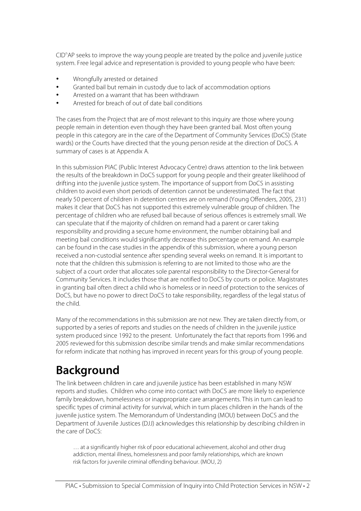CID<sup>n</sup>AP seeks to improve the way young people are treated by the police and juvenile justice system. Free legal advice and representation is provided to young people who have been:

- Wrongfully arrested or detained
- Granted bail but remain in custody due to lack of accommodation options
- Arrested on a warrant that has been withdrawn
- Arrested for breach of out of date bail conditions

The cases from the Project that are of most relevant to this inquiry are those where young people remain in detention even though they have been granted bail. Most often young people in this category are in the care of the Department of Community Services (DoCS) (State wards) or the Courts have directed that the young person reside at the direction of DoCS. A summary of cases is at Appendix A.

In this submission PIAC (Public Interest Advocacy Centre) draws attention to the link between the results of the breakdown in DoCS support for young people and their greater likelihood of drifting into the juvenile justice system. The importance of support from DoCS in assisting children to avoid even short periods of detention cannot be underestimated. The fact that nearly 50 percent of children in detention centres are on remand (Young Offenders, 2005, 231) makes it clear that DoCS has not supported this extremely vulnerable group of children. The percentage of children who are refused bail because of serious offences is extremely small. We can speculate that if the majority of children on remand had a parent or carer taking responsibility and providing a secure home environment, the number obtaining bail and meeting bail conditions would significantly decrease this percentage on remand. An example can be found in the case studies in the appendix of this submission, where a young person received a non-custodial sentence after spending several weeks on remand. It is important to note that the children this submission is referring to are not limited to those who are the subject of a court order that allocates sole parental responsibility to the Director-General for Community Services. It includes those that are notified to DoCS by courts or police. Magistrates in granting bail often direct a child who is homeless or in need of protection to the services of DoCS, but have no power to direct DoCS to take responsibility, regardless of the legal status of the child.

Many of the recommendations in this submission are not new. They are taken directly from, or supported by a series of reports and studies on the needs of children in the juvenile justice system produced since 1992 to the present. Unfortunately the fact that reports from 1996 and 2005 reviewed for this submission describe similar trends and make similar recommendations for reform indicate that nothing has improved in recent years for this group of young people.

## **Background**

The link between children in care and juvenile justice has been established in many NSW reports and studies. Children who come into contact with DoCS are more likely to experience family breakdown, homelessness or inappropriate care arrangements. This in turn can lead to specific types of criminal activity for survival, which in turn places children in the hands of the juvenile justice system. The Memorandum of Understanding (MOU) between DoCS and the Department of Juvenile Justices (DJJ) acknowledges this relationship by describing children in the care of DoCS:

… at a significantly higher risk of poor educational achievement, alcohol and other drug addiction, mental illness, homelessness and poor family relationships, which are known risk factors for juvenile criminal offending behaviour. (MOU, 2)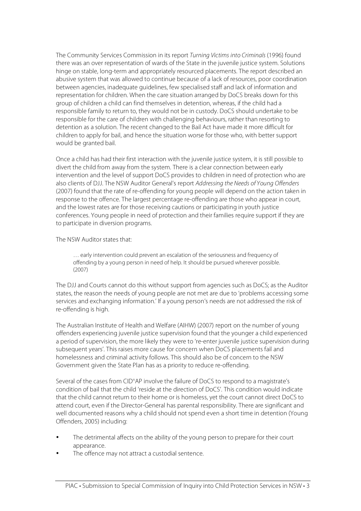The Community Services Commission in its report Turning Victims into Criminals (1996) found there was an over representation of wards of the State in the juvenile justice system. Solutions hinge on stable, long-term and appropriately resourced placements. The report described an abusive system that was allowed to continue because of a lack of resources, poor coordination between agencies, inadequate guidelines, few specialised staff and lack of information and representation for children. When the care situation arranged by DoCS breaks down for this group of children a child can find themselves in detention, whereas, if the child had a responsible family to return to, they would not be in custody. DoCS should undertake to be responsible for the care of children with challenging behaviours, rather than resorting to detention as a solution. The recent changed to the Bail Act have made it more difficult for children to apply for bail, and hence the situation worse for those who, with better support would be granted bail.

Once a child has had their first interaction with the juvenile justice system, it is still possible to divert the child from away from the system. There is a clear connection between early intervention and the level of support DoCS provides to children in need of protection who are also clients of DJJ. The NSW Auditor General's report Addressing the Needs of Young Offenders (2007) found that the rate of re-offending for young people will depend on the action taken in response to the offence. The largest percentage re-offending are those who appear in court, and the lowest rates are for those receiving cautions or participating in youth justice conferences. Young people in need of protection and their families require support if they are to participate in diversion programs.

The NSW Auditor states that:

… early intervention could prevent an escalation of the seriousness and frequency of offending by a young person in need of help. It should be pursued wherever possible. (2007)

The DJJ and Courts cannot do this without support from agencies such as DoCS; as the Auditor states, the reason the needs of young people are not met are due to 'problems accessing some services and exchanging information.' If a young person's needs are not addressed the risk of re-offending is high.

The Australian Institute of Health and Welfare (AIHW) (2007) report on the number of young offenders experiencing juvenile justice supervision found that the younger a child experienced a period of supervision, the more likely they were to 're-enter juvenile justice supervision during subsequent years'. This raises more cause for concern when DoCS placements fail and homelessness and criminal activity follows. This should also be of concern to the NSW Government given the State Plan has as a priority to reduce re-offending.

Several of the cases from CID<sup>n</sup>AP involve the failure of DoCS to respond to a magistrate's condition of bail that the child 'reside at the direction of DoCS'. This condition would indicate that the child cannot return to their home or is homeless, yet the court cannot direct DoCS to attend court, even if the Director-General has parental responsibility. There are significant and well documented reasons why a child should not spend even a short time in detention (Young Offenders, 2005) including:

- The detrimental affects on the ability of the young person to prepare for their court appearance.
- The offence may not attract a custodial sentence.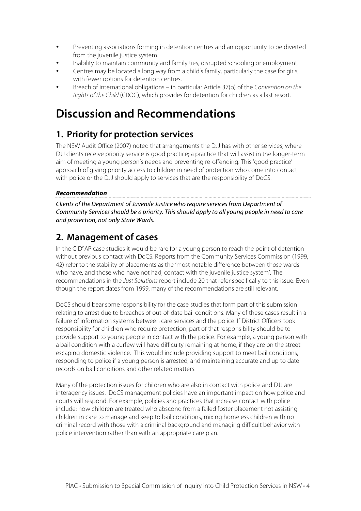- Preventing associations forming in detention centres and an opportunity to be diverted from the juvenile justice system.
- Inability to maintain community and family ties, disrupted schooling or employment.
- Centres may be located a long way from a child's family, particularly the case for girls, with fewer options for detention centres.
- Breach of international obligations in particular Article 37(b) of the Convention on the Rights of the Child (CROC), which provides for detention for children as a last resort.

# **Discussion and Recommendations**

## **1. Priority for protection services**

The NSW Audit Office (2007) noted that arrangements the DJJ has with other services, where DJJ clients receive priority service is good practice; a practice that will assist in the longer-term aim of meeting a young person's needs and preventing re-offending. This 'good practice' approach of giving priority access to children in need of protection who come into contact with police or the DJJ should apply to services that are the responsibility of DoCS.

#### **Recommendation**

Clients of the Department of Juvenile Justice who require servicesfrom Department of Community Services should be a priority. This should apply to all young people in need to care and protection, not only State Wards.

## **2. Management of cases**

In the CID<sup>n</sup>AP case studies it would be rare for a young person to reach the point of detention without previous contact with DoCS. Reports from the Community Services Commission (1999, 42) refer to the stability of placements as the 'most notable difference between those wards who have, and those who have not had, contact with the juvenile justice system'. The recommendations in the Just Solutions report include 20 that refer specifically to this issue. Even though the report dates from 1999, many of the recommendations are still relevant.

DoCS should bear some responsibility for the case studies that form part of this submission relating to arrest due to breaches of out-of-date bail conditions. Many of these cases result in a failure of information systems between care services and the police. If District Officers took responsibility for children who require protection, part of that responsibility should be to provide support to young people in contact with the police. For example, a young person with a bail condition with a curfew will have difficulty remaining at home, if they are on the street escaping domestic violence. This would include providing support to meet bail conditions, responding to police if a young person is arrested, and maintaining accurate and up to date records on bail conditions and other related matters.

Many of the protection issues for children who are also in contact with police and DJJ are interagency issues. DoCS management policies have an important impact on how police and courts will respond. For example, policies and practices that increase contact with police include: how children are treated who abscond from a failed foster placement not assisting children in care to manage and keep to bail conditions, mixing homeless children with no criminal record with those with a criminal background and managing difficult behavior with police intervention rather than with an appropriate care plan.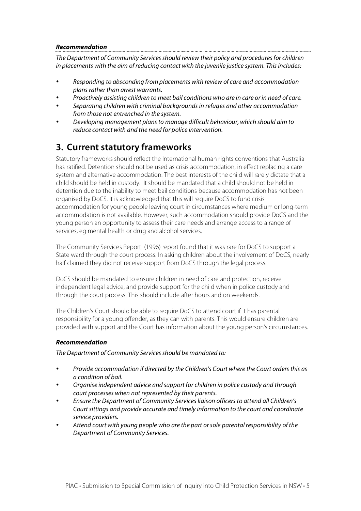#### **Recommendation**

The Department of Community Services should review their policy and procedures for children in placements with the aim of reducing contact with the juvenile justice system. This includes:

- Responding to absconding from placements with review of care and accommodation plans rather than arrest warrants.
- Proactively assisting children to meet bail conditions who are in care or in need of care.
- Separating children with criminal backgrounds in refuges and other accommodation from those not entrenched in the system.
- Developing management plans to manage difficult behaviour, which should aim to reduce contact with and the need for police intervention.

### **3. Current statutory frameworks**

Statutory frameworks should reflect the International human rights conventions that Australia has ratified. Detention should not be used as crisis accommodation, in effect replacing a care system and alternative accommodation. The best interests of the child will rarely dictate that a child should be held in custody. It should be mandated that a child should not be held in detention due to the inability to meet bail conditions because accommodation has not been organised by DoCS. It is acknowledged that this will require DoCS to fund crisis accommodation for young people leaving court in circumstances where medium or long-term accommodation is not available. However, such accommodation should provide DoCS and the young person an opportunity to assess their care needs and arrange access to a range of services, eg mental health or drug and alcohol services.

The Community Services Report (1996) report found that it was rare for DoCS to support a State ward through the court process. In asking children about the involvement of DoCS, nearly half claimed they did not receive support from DoCS through the legal process.

DoCS should be mandated to ensure children in need of care and protection, receive independent legal advice, and provide support for the child when in police custody and through the court process. This should include after hours and on weekends.

The Children's Court should be able to require DoCS to attend court if it has parental responsibility for a young offender, as they can with parents. This would ensure children are provided with support and the Court has information about the young person's circumstances.

#### **Recommendation**

The Department of Community Services should be mandated to:

- Provide accommodation if directed by the Children's Court where the Court orders this as a condition of bail.
- Organise independent advice and support for children in police custody and through court processes when not represented by their parents.
- Ensure the Department of Community Services liaison officers to attend all Children's Court sittings and provide accurate and timely information to the court and coordinate service providers.
- Attend court with young people who are the part or sole parental responsibility of the Department of Community Services.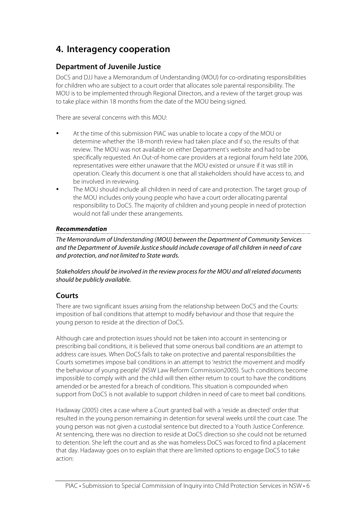### **4. Interagency cooperation**

#### **Department of Juvenile Justice**

DoCS and DJJ have a Memorandum of Understanding (MOU) for co-ordinating responsibilities for children who are subject to a court order that allocates sole parental responsibility. The MOU is to be implemented through Regional Directors, and a review of the target group was to take place within 18 months from the date of the MOU being signed.

There are several concerns with this MOU:

- At the time of this submission PIAC was unable to locate a copy of the MOU or determine whether the 18-month review had taken place and if so, the results of that review. The MOU was not available on either Department's website and had to be specifically requested. An Out-of-home care providers at a regional forum held late 2006, representatives were either unaware that the MOU existed or unsure if it was still in operation. Clearly this document is one that all stakeholders should have access to, and be involved in reviewing.
- The MOU should include all children in need of care and protection. The target group of the MOU includes only young people who have a court order allocating parental responsibility to DoCS. The majority of children and young people in need of protection would not fall under these arrangements.

#### **Recommendation**

The Memorandum of Understanding (MOU) between the Department of Community Services and the Department of Juvenile Justice should include coverage of all children in need of care and protection, and not limited to State wards.

Stakeholders should be involved in the review process for the MOU and all related documents should be publicly available.

#### **Courts**

There are two significant issues arising from the relationship between DoCS and the Courts: imposition of bail conditions that attempt to modify behaviour and those that require the young person to reside at the direction of DoCS.

Although care and protection issues should not be taken into account in sentencing or prescribing bail conditions, it is believed that some onerous bail conditions are an attempt to address care issues. When DoCS fails to take on protective and parental responsibilities the Courts sometimes impose bail conditions in an attempt to 'restrict the movement and modify the behaviour of young people' (NSW Law Reform Commission2005). Such conditions become impossible to comply with and the child will then either return to court to have the conditions amended or be arrested for a breach of conditions. This situation is compounded when support from DoCS is not available to support children in need of care to meet bail conditions.

Hadaway (2005) cites a case where a Court granted bail with a 'reside as directed' order that resulted in the young person remaining in detention for several weeks until the court case. The young person was not given a custodial sentence but directed to a Youth Justice Conference. At sentencing, there was no direction to reside at DoCS direction so she could not be returned to detention. She left the court and as she was homeless DoCS was forced to find a placement that day. Hadaway goes on to explain that there are limited options to engage DoCS to take action: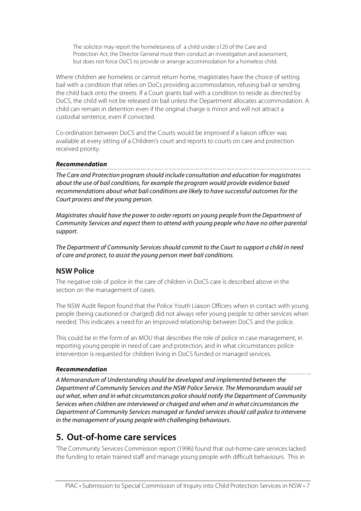The solicitor may report the homelessness of a child under s120 of the Care and Protection Act, the Director General must then conduct an investigation and assessment, but does not force DoCS to provide or arrange accommodation for a homeless child.

Where children are homeless or cannot return home, magistrates have the choice of setting bail with a condition that relies on DoCs providing accommodation, refusing bail or sending the child back onto the streets. If a Court grants bail with a condition to reside as directed by DoCS, the child will not be released on bail unless the Department allocates accommodation. A child can remain in detention even if the original charge is minor and will not attract a custodial sentence, even if convicted.

Co-ordination between DoCS and the Courts would be improved if a liaison officer was available at every sitting of a Children's court and reports to courts on care and protection received priority.

#### **Recommendation**

The Care and Protection program should include consultation and education for magistrates about the use of bail conditions, for example the program would provide evidence based recommendations about what bail conditions are likely to have successful outcomes for the Court process and the young person.

Magistrates should have the power to order reports on young people from the Department of Community Services and expect them to attend with young people who have no other parental support.

The Department of Community Services should commit to the Court to support a child in need of care and protect, to assist the young person meet bail conditions.

### **NSW Police**

The negative role of police in the care of children in DoCS care is described above in the section on the management of cases.

The NSW Audit Report found that the Police Youth Liaison Officers when in contact with young people (being cautioned or charged) did not always refer young people to other services when needed. This indicates a need for an improved relationship between DoCS and the police.

This could be in the form of an MOU that describes the role of police in case management, in reporting young people in need of care and protection, and in what circumstances police intervention is requested for children living in DoCS funded or managed services.

#### **Recommendation**

A Memorandum of Understanding should be developed and implemented between the Department of Community Services and the NSW Police Service. The Memorandum would set out what, when and in what circumstances police should notify the Department of Community Services when children are interviewed or charged and when and in what circumstances the Department of Community Services managed or funded services should call police to intervene in the management of young people with challenging behaviours.

### **5. Out-of-home care services**

'The Community Services Commission report (1996) found that out-home-care services lacked the funding to retain trained staff and manage young people with difficult behaviours. This in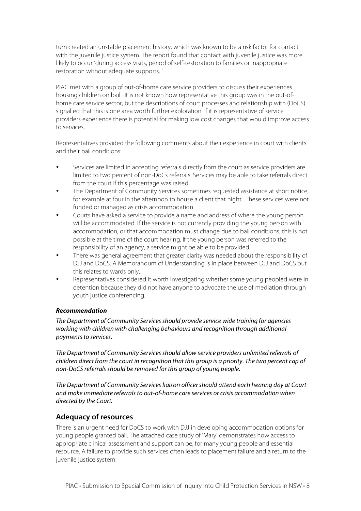turn created an unstable placement history, which was known to be a risk factor for contact with the juvenile justice system. The report found that contact with juvenile justice was more likely to occur 'during access visits, period of self-restoration to families or inappropriate restoration without adequate supports. '

PIAC met with a group of out-of-home care service providers to discuss their experiences housing children on bail. It is not known how representative this group was in the out-ofhome care service sector, but the descriptions of court processes and relationship with (DoCS) signalled that this is one area worth further exploration. If it is representative of service providers experience there is potential for making low cost changes that would improve access to services.

Representatives provided the following comments about their experience in court with clients and their bail conditions:

- Services are limited in accepting referrals directly from the court as service providers are limited to two percent of non-DoCs referrals. Services may be able to take referrals direct from the court if this percentage was raised.
- The Department of Community Services sometimes requested assistance at short notice, for example at four in the afternoon to house a client that night. These services were not funded or managed as crisis accommodation.
- Courts have asked a service to provide a name and address of where the young person will be accommodated. If the service is not currently providing the young person with accommodation, or that accommodation must change due to bail conditions, this is not possible at the time of the court hearing. If the young person was referred to the responsibility of an agency, a service might be able to be provided.
- There was general agreement that greater clarity was needed about the responsibility of DJJ and DoCS. A Memorandum of Understanding is in place between DJJ and DoCS but this relates to wards only.
- Representatives considered it worth investigating whether some young peopled were in detention because they did not have anyone to advocate the use of mediation through youth justice conferencing.

#### **Recommendation**

The Department of Community Services should provide service wide training for agencies working with children with challenging behaviours and recognition through additional payments to services.

The Department of Community Services should allow service providers unlimited referrals of children direct from the court in recognition that this group is a priority. The two percent cap of non-DoCS referrals should be removed for this group of young people.

The Department of Community Services liaison officershould attend each hearing day at Court and make immediate referrals to out-of-home care services or crisis accommodation when directed by the Court.

#### **Adequacy of resources**

There is an urgent need for DoCS to work with DJJ in developing accommodation options for young people granted bail. The attached case study of 'Mary' demonstrates how access to appropriate clinical assessment and support can be, for many young people and essential resource. A failure to provide such services often leads to placement failure and a return to the juvenile justice system.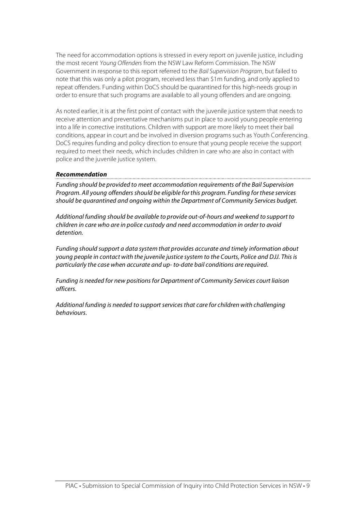The need for accommodation options is stressed in every report on juvenile justice, including the most recent Young Offenders from the NSW Law Reform Commission. The NSW Government in response to this report referred to the Bail Supervision Program, but failed to note that this was only a pilot program, received less than \$1m funding, and only applied to repeat offenders. Funding within DoCS should be quarantined for this high-needs group in order to ensure that such programs are available to all young offenders and are ongoing.

As noted earlier, it is at the first point of contact with the juvenile justice system that needs to receive attention and preventative mechanisms put in place to avoid young people entering into a life in corrective institutions. Children with support are more likely to meet their bail conditions, appear in court and be involved in diversion programs such as Youth Conferencing. DoCS requires funding and policy direction to ensure that young people receive the support required to meet their needs, which includes children in care who are also in contact with police and the juvenile justice system.

#### **Recommendation**

Funding should be provided to meet accommodation requirements of the Bail Supervision Program. All young offenders should be eligible for this program. Funding for these services should be quarantined and ongoing within the Department of Community Services budget.

Additional funding should be available to provide out-of-hours and weekend to support to children in care who are in police custody and need accommodation in order to avoid detention.

Funding should support a data system that provides accurate and timely information about young people in contact with the juvenile justice system to the Courts, Police and DJJ. This is particularly the case when accurate and up- to-date bail conditions are required.

Funding is needed for new positions for Department of Community Services court liaison officers.

Additional funding is needed to support servicesthat care for children with challenging behaviours.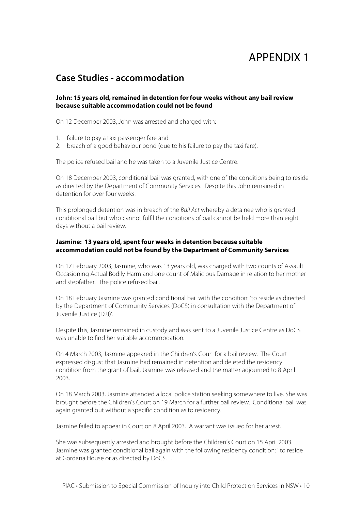## APPENDIX 1

### **Case Studies - accommodation**

#### **John: 15 years old, remained in detention for four weeks without any bail review because suitable accommodation could not be found**

On 12 December 2003, John was arrested and charged with:

- 1. failure to pay a taxi passenger fare and
- 2. breach of a good behaviour bond (due to his failure to pay the taxi fare).

The police refused bail and he was taken to a Juvenile Justice Centre.

On 18 December 2003, conditional bail was granted, with one of the conditions being to reside as directed by the Department of Community Services. Despite this John remained in detention for over four weeks.

This prolonged detention was in breach of the Bail Act whereby a detainee who is granted conditional bail but who cannot fulfil the conditions of bail cannot be held more than eight days without a bail review.

#### **Jasmine: 13 years old, spent four weeks in detention because suitable accommodation could not be found by the Department of Community Services**

On 17 February 2003, Jasmine, who was 13 years old, was charged with two counts of Assault Occasioning Actual Bodily Harm and one count of Malicious Damage in relation to her mother and stepfather. The police refused bail.

On 18 February Jasmine was granted conditional bail with the condition: 'to reside as directed by the Department of Community Services (DoCS) in consultation with the Department of Juvenile Justice (DJJ)'.

Despite this, Jasmine remained in custody and was sent to a Juvenile Justice Centre as DoCS was unable to find her suitable accommodation.

On 4 March 2003, Jasmine appeared in the Children's Court for a bail review. The Court expressed disgust that Jasmine had remained in detention and deleted the residency condition from the grant of bail, Jasmine was released and the matter adjourned to 8 April 2003.

On 18 March 2003, Jasmine attended a local police station seeking somewhere to live. She was brought before the Children's Court on 19 March for a further bail review. Conditional bail was again granted but without a specific condition as to residency.

Jasmine failed to appear in Court on 8 April 2003. A warrant was issued for her arrest.

She was subsequently arrested and brought before the Children's Court on 15 April 2003. Jasmine was granted conditional bail again with the following residency condition: ' to reside at Gordana House or as directed by DoCS…'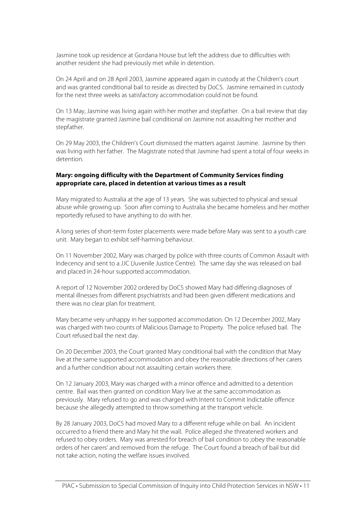Jasmine took up residence at Gordana House but left the address due to difficulties with another resident she had previously met while in detention.

On 24 April and on 28 April 2003, Jasmine appeared again in custody at the Children's court and was granted conditional bail to reside as directed by DoCS. Jasmine remained in custody for the next three weeks as satisfactory accommodation could not be found.

On 13 May, Jasmine was living again with her mother and stepfather. On a bail review that day the magistrate granted Jasmine bail conditional on Jasmine not assaulting her mother and stepfather.

On 29 May 2003, the Children's Court dismissed the matters against Jasmine. Jasmine by then was living with her father. The Magistrate noted that Jasmine had spent a total of four weeks in detention.

#### **Mary: ongoing difficulty with the Department of Community Services finding appropriate care, placed in detention at various times as a result**

Mary migrated to Australia at the age of 13 years. She was subjected to physical and sexual abuse while growing up. Soon after coming to Australia she became homeless and her mother reportedly refused to have anything to do with her.

A long series of short-term foster placements were made before Mary was sent to a youth care unit. Mary began to exhibit self-harming behaviour.

On 11 November 2002, Mary was charged by police with three counts of Common Assault with Indecency and sent to a JJC (Juvenile Justice Centre). The same day she was released on bail and placed in 24-hour supported accommodation.

A report of 12 November 2002 ordered by DoCS showed Mary had differing diagnoses of mental illnesses from different psychiatrists and had been given different medications and there was no clear plan for treatment.

Mary became very unhappy in her supported accommodation. On 12 December 2002, Mary was charged with two counts of Malicious Damage to Property. The police refused bail. The Court refused bail the next day.

On 20 December 2003, the Court granted Mary conditional bail with the condition that Mary live at the same supported accommodation and obey the reasonable directions of her carers and a further condition about not assaulting certain workers there.

On 12 January 2003, Mary was charged with a minor offence and admitted to a detention centre. Bail was then granted on condition Mary live at the same accommodation as previously. Mary refused to go and was charged with Intent to Commit Indictable offence because she allegedly attempted to throw something at the transport vehicle.

By 28 January 2003, DoCS had moved Mary to a different refuge while on bail. An incident occurred to a friend there and Mary hit the wall. Police alleged she threatened workers and refused to obey orders. Mary was arrested for breach of bail condition to ;obey the reasonable orders of her carers' and removed from the refuge. The Court found a breach of bail but did not take action, noting the welfare issues involved.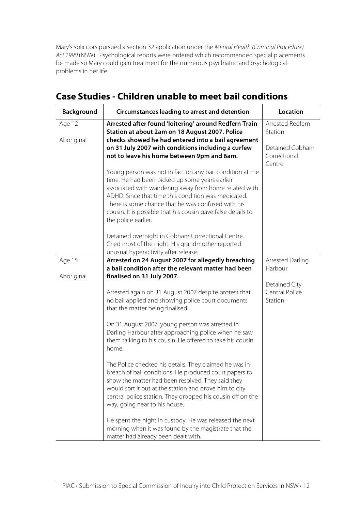Mary's solicitors pursued a section 32 application under the Mental Health (Criminal Procedure) Act 1990 (NSW). Psychological reports were ordered which recommended special placements be made so Mary could gain treatment for the numerous psychiatric and psychological problems in her life.

| Background           | Circumstances leading to arrest and detention                                                                                                                                                                                                                                                                                                                            | Location                                   |
|----------------------|--------------------------------------------------------------------------------------------------------------------------------------------------------------------------------------------------------------------------------------------------------------------------------------------------------------------------------------------------------------------------|--------------------------------------------|
| Age 12<br>Aboriginal | Arrested after found 'loitering' around Redfern Train<br>Station at about 2am on 18 August 2007. Police<br>checks showed he had entered into a bail agreement                                                                                                                                                                                                            | Arrested Redfern<br>Station                |
|                      | on 31 July 2007 with conditions including a curfew<br>not to leave his home between 9pm and 6am.                                                                                                                                                                                                                                                                         | Detained Cobham<br>Correctional<br>Centre  |
|                      | Young person was not in fact on any bail condition at the<br>time. He had been picked up some years earlier<br>associated with wandering away from home related with<br>ADHD. Since that time this condition was medicated.<br>There is some chance that he was confused with his<br>cousin. It is possible that his cousin gave false details to<br>the police earlier. |                                            |
|                      | Detained overnight in Cobham Correctional Centre.<br>Cried most of the night. His grandmother reported<br>unusual hyperactivity after release.                                                                                                                                                                                                                           |                                            |
| Age 15               | Arrested on 24 August 2007 for allegedly breaching<br>a bail condition after the relevant matter had been                                                                                                                                                                                                                                                                | Arrested Darling<br>Harbour                |
| Aboriginal           | finalised on 31 July 2007.                                                                                                                                                                                                                                                                                                                                               |                                            |
|                      | Arrested again on 31 August 2007 despite protest that<br>no bail applied and showing police court documents<br>that the matter being finalised.                                                                                                                                                                                                                          | Detained City<br>Central Police<br>Station |
|                      | On 31 August 2007, young person was arrested in<br>Darling Harbour after approaching police when he saw<br>them talking to his cousin. He offered to take his cousin<br>home.                                                                                                                                                                                            |                                            |
|                      | The Police checked his details. They claimed he was in<br>breach of bail conditions. He produced court papers to<br>show the matter had been resolved. They said they<br>would sort it out at the station and drove him to city<br>central police station. They dropped his cousin off on the<br>way, going near to his house.                                           |                                            |
|                      | He spent the night in custody. He was released the next<br>morning when it was found by the magistrate that the<br>matter had already been dealt with.                                                                                                                                                                                                                   |                                            |

### **Case Studies - Children unable to meet bail conditions**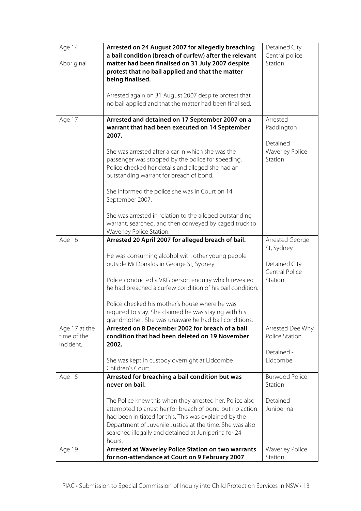| Age 14<br>Aboriginal                      | Arrested on 24 August 2007 for allegedly breaching<br>a bail condition (breach of curfew) after the relevant<br>matter had been finalised on 31 July 2007 despite<br>protest that no bail applied and that the matter<br>being finalised.<br>Arrested again on 31 August 2007 despite protest that           | Detained City<br>Central police<br>Station    |
|-------------------------------------------|--------------------------------------------------------------------------------------------------------------------------------------------------------------------------------------------------------------------------------------------------------------------------------------------------------------|-----------------------------------------------|
|                                           | no bail applied and that the matter had been finalised.                                                                                                                                                                                                                                                      |                                               |
| Age 17                                    | Arrested and detained on 17 September 2007 on a<br>warrant that had been executed on 14 September<br>2007.                                                                                                                                                                                                   | Arrested<br>Paddington                        |
|                                           | She was arrested after a car in which she was the<br>passenger was stopped by the police for speeding.<br>Police checked her details and alleged she had an<br>outstanding warrant for breach of bond.                                                                                                       | Detained<br><b>Waverley Police</b><br>Station |
|                                           | She informed the police she was in Court on 14<br>September 2007.                                                                                                                                                                                                                                            |                                               |
|                                           | She was arrested in relation to the alleged outstanding<br>warrant, searched, and then conveyed by caged truck to<br>Waverley Police Station.                                                                                                                                                                |                                               |
| Age 16                                    | Arrested 20 April 2007 for alleged breach of bail.                                                                                                                                                                                                                                                           | Arrested George<br>St, Sydney                 |
|                                           | He was consuming alcohol with other young people<br>outside McDonalds in George St, Sydney.                                                                                                                                                                                                                  | Detained City<br>Central Police               |
|                                           | Police conducted a VKG person enquiry which revealed<br>he had breached a curfew condition of his bail condition.                                                                                                                                                                                            | Station.                                      |
|                                           | Police checked his mother's house where he was<br>required to stay. She claimed he was staying with his<br>grandmother. She was unaware he had bail conditions.                                                                                                                                              |                                               |
| Age 17 at the<br>time of the<br>incident. | Arrested on 8 December 2002 for breach of a bail<br>condition that had been deleted on 19 November<br>2002.                                                                                                                                                                                                  | Arrested Dee Why<br>Police Station            |
|                                           | She was kept in custody overnight at Lidcombe<br>Children's Court.                                                                                                                                                                                                                                           | Detained -<br>Lidcombe                        |
| Age 15                                    | Arrested for breaching a bail condition but was<br>never on bail.                                                                                                                                                                                                                                            | <b>Burwood Police</b><br>Station              |
|                                           | The Police knew this when they arrested her. Police also<br>attempted to arrest her for breach of bond but no action<br>had been initiated for this. This was explained by the<br>Department of Juvenile Justice at the time. She was also<br>searched illegally and detained at Juniperina for 24<br>hours. | Detained<br>Juniperina                        |
| Age 19                                    | Arrested at Waverley Police Station on two warrants<br>for non-attendance at Court on 9 February 2007.                                                                                                                                                                                                       | <b>Waverley Police</b><br>Station             |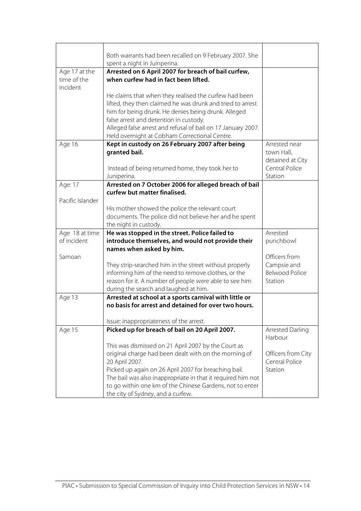|                  | Both warrants had been recalled on 9 February 2007. She      |                       |
|------------------|--------------------------------------------------------------|-----------------------|
|                  |                                                              |                       |
|                  | spent a night in Juinperina.                                 |                       |
| Age 17 at the    | Arrested on 6 April 2007 for breach of bail curfew,          |                       |
| time of the      | when curfew had in fact been lifted.                         |                       |
| incident         |                                                              |                       |
|                  | He claims that when they realised the curfew had been        |                       |
|                  | lifted, they then claimed he was drunk and tried to arrest   |                       |
|                  | him for being drunk. He denies being drunk. Alleged          |                       |
|                  | false arrest and detention in custody.                       |                       |
|                  | Alleged false arrest and refusal of bail on 17 January 2007. |                       |
|                  | Held overnight at Cobham Correctional Centre.                |                       |
| Age 16           | Kept in custody on 26 February 2007 after being              | Arrested near         |
|                  | granted bail.                                                | town Hall,            |
|                  |                                                              | detained at City      |
|                  | Instead of being returned home, they took her to             | Central Police        |
|                  | Juniperina.                                                  | Station               |
| Age: 17          | Arrested on 7 October 2006 for alleged breach of bail        |                       |
|                  | curfew but matter finalised.                                 |                       |
| Pacific Islander |                                                              |                       |
|                  | His mother showed the police the relevant court              |                       |
|                  | documents. The police did not believe her and he spent       |                       |
|                  | the night in custody.                                        |                       |
| Age 18 at time   | He was stopped in the street. Police failed to               | Arrested              |
| of incident      | introduce themselves, and would not provide their            | punchbowl             |
|                  | names when asked by him.                                     |                       |
| Samoan           |                                                              | Officers from         |
|                  | They strip-searched him in the street without properly       | Campsie and           |
|                  | informing him of the need to remove clothes, or the          | <b>Belwood Police</b> |
|                  | reason for it. A number of people were able to see him       | Station               |
|                  | during the search and laughed at him.                        |                       |
| Age 13           | Arrested at school at a sports carnival with little or       |                       |
|                  | no basis for arrest and detained for over two hours.         |                       |
|                  |                                                              |                       |
|                  | Issue: inappropriateness of the arrest.                      |                       |
| Age 15           | Picked up for breach of bail on 20 April 2007.               | Arrested Darling      |
|                  |                                                              | Harbour               |
|                  | This was dismissed on 21 April 2007 by the Court as          |                       |
|                  | original charge had been dealt with on the morning of        | Officers from City    |
|                  | 20 April 2007.                                               | Central Police        |
|                  | Picked up again on 26 April 2007 for breaching bail.         | Station               |
|                  | The bail was also inappropriate in that it required him not  |                       |
|                  | to go within one km of the Chinese Gardens, not to enter     |                       |
|                  | the city of Sydney, and a curfew.                            |                       |
|                  |                                                              |                       |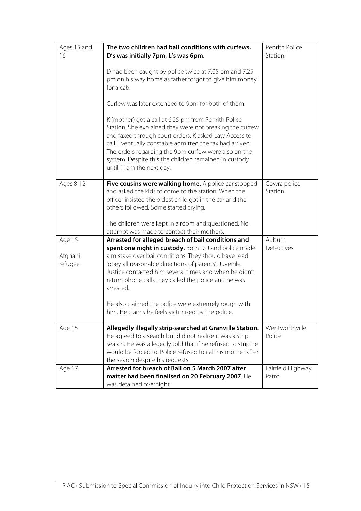| Ages 15 and<br>16            | The two children had bail conditions with curfews.<br>D's was initially 7pm, L's was 6pm.<br>D had been caught by police twice at 7.05 pm and 7.25<br>pm on his way home as father forgot to give him money<br>for a cab.<br>Curfew was later extended to 9pm for both of them.<br>K (mother) got a call at 6.25 pm from Penrith Police<br>Station. She explained they were not breaking the curfew<br>and faxed through court orders. K asked Law Access to<br>call. Eventually constable admitted the fax had arrived.<br>The orders regarding the 9pm curfew were also on the<br>system. Despite this the children remained in custody<br>until 11am the next day. | Penrith Police<br>Station.  |
|------------------------------|-----------------------------------------------------------------------------------------------------------------------------------------------------------------------------------------------------------------------------------------------------------------------------------------------------------------------------------------------------------------------------------------------------------------------------------------------------------------------------------------------------------------------------------------------------------------------------------------------------------------------------------------------------------------------|-----------------------------|
| Ages 8-12                    | Five cousins were walking home. A police car stopped<br>and asked the kids to come to the station. When the<br>officer insisted the oldest child got in the car and the<br>others followed. Some started crying.<br>The children were kept in a room and questioned. No<br>attempt was made to contact their mothers.                                                                                                                                                                                                                                                                                                                                                 | Cowra police<br>Station     |
| Age 15<br>Afghani<br>refugee | Arrested for alleged breach of bail conditions and<br>spent one night in custody. Both DJJ and police made<br>a mistake over bail conditions. They should have read<br>'obey all reasonable directions of parents'. Juvenile<br>Justice contacted him several times and when he didn't<br>return phone calls they called the police and he was<br>arrested.<br>He also claimed the police were extremely rough with<br>him. He claims he feels victimised by the police.                                                                                                                                                                                              | Auburn<br>Detectives        |
| Age 15                       | Allegedly illegally strip-searched at Granville Station.<br>He agreed to a search but did not realise it was a strip<br>search. He was allegedly told that if he refused to strip he<br>would be forced to. Police refused to call his mother after<br>the search despite his requests.                                                                                                                                                                                                                                                                                                                                                                               | Wentworthville<br>Police    |
| Age 17                       | Arrested for breach of Bail on 5 March 2007 after<br>matter had been finalised on 20 February 2007. He<br>was detained overnight.                                                                                                                                                                                                                                                                                                                                                                                                                                                                                                                                     | Fairfield Highway<br>Patrol |